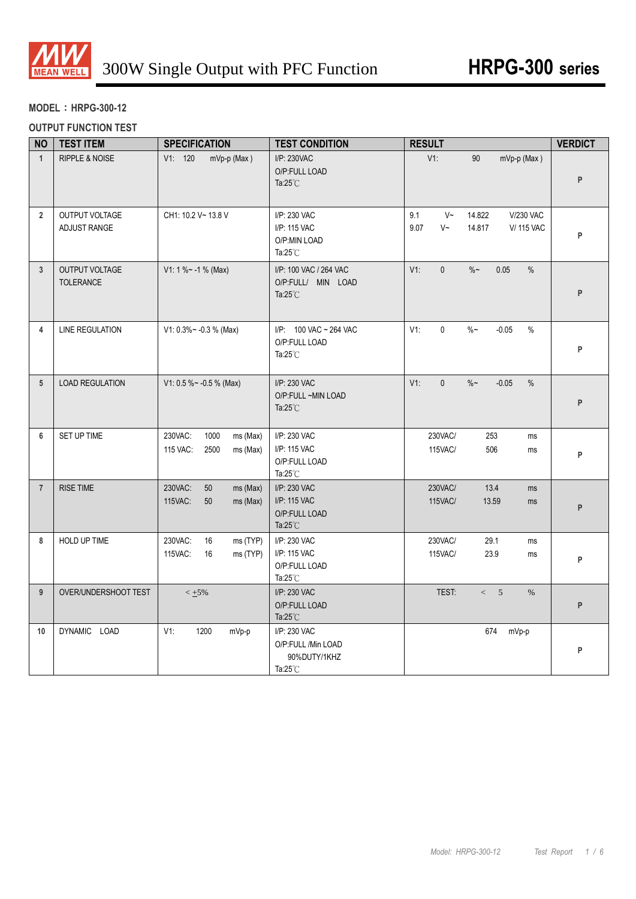

# **MODEL**:**HRPG-300-12**

### **OUTPUT FUNCTION TEST**

| <b>NO</b>       | <b>TEST ITEM</b>                   | <b>SPECIFICATION</b>                                        | <b>TEST CONDITION</b>                                                    | <b>RESULT</b>                                                                                    | <b>VERDICT</b> |
|-----------------|------------------------------------|-------------------------------------------------------------|--------------------------------------------------------------------------|--------------------------------------------------------------------------------------------------|----------------|
| $\mathbf{1}$    | RIPPLE & NOISE                     | V1: 120<br>mVp-p (Max)                                      | I/P: 230VAC<br>O/P:FULL LOAD<br>Ta: $25^{\circ}$ C                       | $V1$ :<br>90<br>mVp-p (Max)                                                                      | P              |
| $\overline{2}$  | OUTPUT VOLTAGE<br>ADJUST RANGE     | CH1: 10.2 V~ 13.8 V                                         | I/P: 230 VAC<br>I/P: 115 VAC<br>O/P:MIN LOAD<br>Ta: $25^{\circ}$ C       | 9.1<br>$V~\sim$<br>14.822<br><b>V/230 VAC</b><br>9.07<br>$V~\sim$<br>14.817<br><b>V/ 115 VAC</b> | P              |
| $\overline{3}$  | OUTPUT VOLTAGE<br><b>TOLERANCE</b> | $V1: 1 % ~ -1 % (Max)$                                      | I/P: 100 VAC / 264 VAC<br>O/P:FULL/ MIN LOAD<br>Ta: $25^{\circ}$ C       | $\mathbf{0}$<br>$V1$ :<br>$\%$ ~<br>0.05<br>$\%$                                                 | P              |
| 4               | <b>LINE REGULATION</b>             | $V1: 0.3\% \sim -0.3\%$ (Max)                               | I/P: 100 VAC ~ 264 VAC<br>O/P:FULL LOAD<br>Ta: $25^{\circ}$ C            | V1:<br>$\mathsf{O}\xspace$<br>$\%$ ~<br>$-0.05$<br>%                                             | P              |
| $5\overline{)}$ | <b>LOAD REGULATION</b>             | V1: 0.5 % ~ - 0.5 % (Max)                                   | I/P: 230 VAC<br>O/P:FULL ~MIN LOAD<br>Ta: $25^{\circ}$ C                 | $V1$ :<br>$\mathbf{0}$<br>$\%$ ~<br>$-0.05$<br>$\%$                                              | P              |
| 6               | SET UP TIME                        | 230VAC:<br>1000<br>ms (Max)<br>115 VAC:<br>2500<br>ms (Max) | I/P: 230 VAC<br>I/P: 115 VAC<br>O/P:FULL LOAD<br>Ta: $25^{\circ}$ C      | 230VAC/<br>253<br>ms<br>115VAC/<br>506<br>ms                                                     | P              |
| $\overline{7}$  | <b>RISE TIME</b>                   | 230VAC:<br>50<br>ms (Max)<br>115VAC:<br>50<br>ms (Max)      | I/P: 230 VAC<br>I/P: 115 VAC<br>O/P:FULL LOAD<br>Ta: $25^{\circ}$ C      | 230VAC/<br>13.4<br>ms<br>115VAC/<br>13.59<br>ms                                                  | P              |
| 8               | HOLD UP TIME                       | 230VAC:<br>16<br>ms (TYP)<br>115VAC:<br>ms (TYP)<br>16      | I/P: 230 VAC<br>I/P: 115 VAC<br>O/P:FULL LOAD<br>Ta: $25^{\circ}$ C      | 230VAC/<br>29.1<br>ms<br>23.9<br>115VAC/<br>ms                                                   | P              |
| 9               | OVER/UNDERSHOOT TEST               | $< +5\%$                                                    | I/P: 230 VAC<br>O/P:FULL LOAD<br>Ta: $25^{\circ}$ C                      | TEST:<br>< 5<br>%                                                                                | P              |
| 10              | DYNAMIC LOAD                       | $V1$ :<br>1200<br>mVp-p                                     | I/P: 230 VAC<br>O/P:FULL /Min LOAD<br>90%DUTY/1KHZ<br>Ta: $25^{\circ}$ C | 674<br>mVp-p                                                                                     | P              |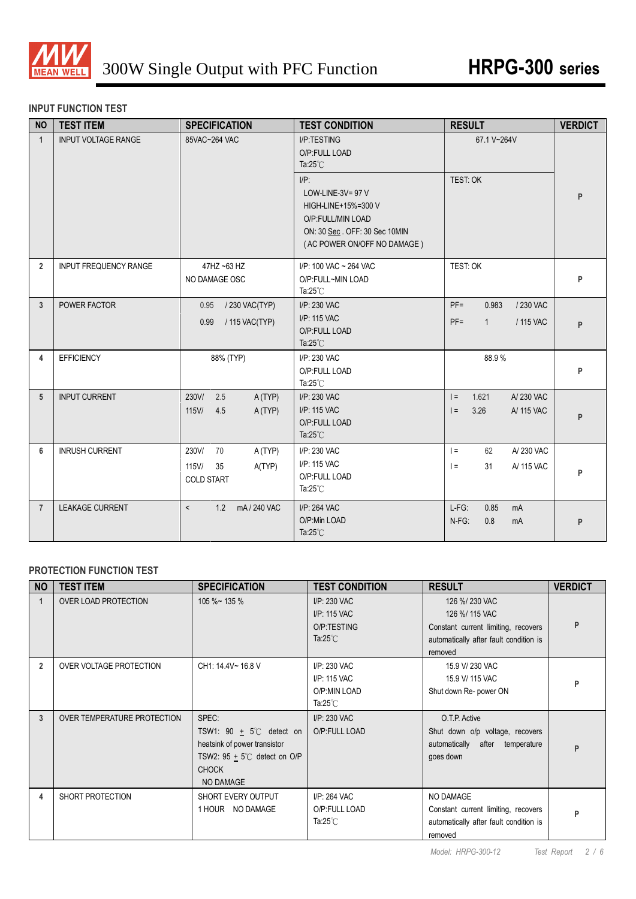

### **INPUT FUNCTION TEST**

| <b>NO</b>      | <b>TEST ITEM</b>             | <b>SPECIFICATION</b>                                                 | <b>TEST CONDITION</b>                                                                                                                                                                            | <b>RESULT</b>                                                       | <b>VERDICT</b> |
|----------------|------------------------------|----------------------------------------------------------------------|--------------------------------------------------------------------------------------------------------------------------------------------------------------------------------------------------|---------------------------------------------------------------------|----------------|
| $\mathbf{1}$   | <b>INPUT VOLTAGE RANGE</b>   | 85VAC~264 VAC                                                        | I/P:TESTING<br>O/P:FULL LOAD<br>Ta: $25^{\circ}$ C<br>$I/P$ :<br>LOW-LINE-3V= $97$ V<br>HIGH-LINE+15%=300 V<br>O/P:FULL/MIN LOAD<br>ON: 30 Sec. OFF: 30 Sec 10MIN<br>(AC POWER ON/OFF NO DAMAGE) | 67.1 V~264V<br>TEST: OK                                             | P              |
| $\overline{2}$ | <b>INPUT FREQUENCY RANGE</b> | 47HZ ~63 HZ<br>NO DAMAGE OSC                                         | I/P: 100 VAC ~ 264 VAC<br>O/P:FULL~MIN LOAD<br>Ta: $25^{\circ}$ C                                                                                                                                | TEST: OK                                                            | P              |
| 3              | POWER FACTOR                 | 0.95 / 230 VAC(TYP)<br>/ 115 VAC(TYP)<br>0.99                        | I/P: 230 VAC<br>I/P: 115 VAC<br>O/P:FULL LOAD<br>Ta: $25^{\circ}$ C                                                                                                                              | $PF =$<br>0.983<br>/ 230 VAC<br>$PF =$<br>$\mathbf{1}$<br>/ 115 VAC | P              |
| 4              | <b>EFFICIENCY</b>            | 88% (TYP)                                                            | I/P: 230 VAC<br>O/P:FULL LOAD<br>Ta: $25^{\circ}$ C                                                                                                                                              | 88.9%                                                               | P              |
| 5              | <b>INPUT CURRENT</b>         | 230V/<br>2.5<br>A (TYP)<br>$115$ V/<br>4.5<br>A (TYP)                | I/P: 230 VAC<br>I/P: 115 VAC<br>O/P:FULL LOAD<br>Ta: $25^{\circ}$ C                                                                                                                              | 1.621<br>A/230 VAC<br>$=$<br>3.26<br>A/ 115 VAC<br>$=$              | P              |
| 6              | <b>INRUSH CURRENT</b>        | 230V/<br>70<br>A (TYP)<br>A(TYP)<br>115V/<br>35<br><b>COLD START</b> | I/P: 230 VAC<br>I/P: 115 VAC<br>O/P:FULL LOAD<br>Ta: $25^{\circ}$ C                                                                                                                              | A/230 VAC<br>$\vert =$<br>62<br>$\vert =$<br>31<br>A/ 115 VAC       | P              |
| $\overline{7}$ | <b>LEAKAGE CURRENT</b>       | 1.2 mA/240 VAC<br>$\overline{\phantom{a}}$                           | I/P: 264 VAC<br>O/P:Min LOAD<br>Ta: $25^{\circ}$ C                                                                                                                                               | $L-FG$ :<br>0.85<br>mA<br>0.8<br>N-FG:<br>mA                        | P              |

## **PROTECTION FUNCTION TEST**

| <b>NO</b>      | <b>TEST ITEM</b>            | <b>SPECIFICATION</b>                                                                                                                         | <b>TEST CONDITION</b>                                              | <b>RESULT</b>                                                                                                               | <b>VERDICT</b> |
|----------------|-----------------------------|----------------------------------------------------------------------------------------------------------------------------------------------|--------------------------------------------------------------------|-----------------------------------------------------------------------------------------------------------------------------|----------------|
| 1              | <b>OVER LOAD PROTECTION</b> | $105\%$ ~ 135 %                                                                                                                              | I/P: 230 VAC<br>I/P: 115 VAC<br>O/P:TESTING<br>Ta: $25^{\circ}$ C  | 126 %/230 VAC<br>126 %/ 115 VAC<br>Constant current limiting, recovers<br>automatically after fault condition is<br>removed |                |
| $\overline{2}$ | OVER VOLTAGE PROTECTION     | CH1: 14.4V~ 16.8 V                                                                                                                           | I/P: 230 VAC<br>I/P: 115 VAC<br>O/P:MIN LOAD<br>Ta: $25^{\circ}$ C | 15.9 V/ 230 VAC<br>15.9 V/ 115 VAC<br>Shut down Re- power ON                                                                | D              |
| 3              | OVER TEMPERATURE PROTECTION | SPEC:<br>TSW1: 90 $\pm$ 5°C detect on<br>heatsink of power transistor<br>TSW2: $95 + 5^{\circ}$ C detect on O/P<br><b>CHOCK</b><br>NO DAMAGE | I/P: 230 VAC<br>O/P:FULL LOAD                                      | O.T.P. Active<br>Shut down o/p voltage, recovers<br>automatically after temperature<br>goes down                            | P              |
| 4              | SHORT PROTECTION            | SHORT EVERY OUTPUT<br>1 HOUR NO DAMAGE                                                                                                       | I/P: 264 VAC<br>O/P:FULL LOAD<br>Ta:25 $°C$                        | <b>NO DAMAGE</b><br>Constant current limiting, recovers<br>automatically after fault condition is<br>removed                | Þ              |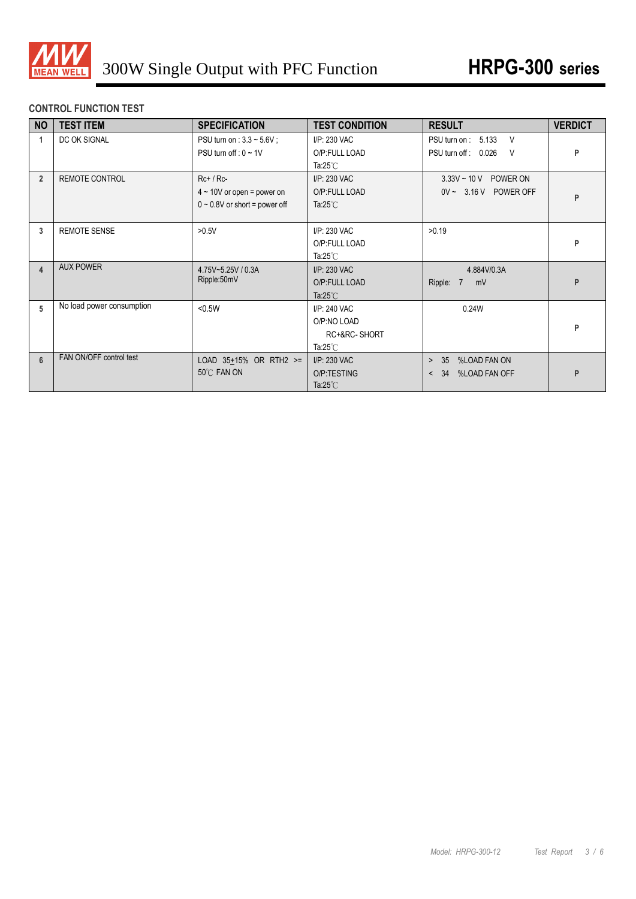

# **CONTROL FUNCTION TEST**

| <b>NO</b>               | <b>TEST ITEM</b>          | <b>SPECIFICATION</b>                                                                 | <b>TEST CONDITION</b>                                             | <b>RESULT</b>                                                  | <b>VERDICT</b> |
|-------------------------|---------------------------|--------------------------------------------------------------------------------------|-------------------------------------------------------------------|----------------------------------------------------------------|----------------|
|                         | DC OK SIGNAL              | PSU turn on : $3.3 \sim 5.6V$ ;<br>PSU turn off : $0 \sim 1$ V                       | I/P: 230 VAC<br>O/P:FULL LOAD<br>Ta: $25^{\circ}$ C               | PSU turn on: 5.133<br>V<br>PSU turn off: 0.026<br>- V          | P              |
| $\overline{2}$          | <b>REMOTE CONTROL</b>     | $Rc+ / Rc-$<br>$4 \sim 10V$ or open = power on<br>$0 \sim 0.8V$ or short = power off | I/P: 230 VAC<br>O/P:FULL LOAD<br>Ta: $25^{\circ}$ C               | $3.33V - 10V$<br>POWER ON<br>$0V \sim 3.16 V$ POWER OFF        | P              |
| 3                       | <b>REMOTE SENSE</b>       | >0.5V                                                                                | I/P: 230 VAC<br>O/P:FULL LOAD<br>Ta: $25^{\circ}$ C               | >0.19                                                          | P              |
| $\overline{\mathbf{4}}$ | <b>AUX POWER</b>          | 4.75V~5.25V / 0.3A<br>Ripple:50mV                                                    | I/P: 230 VAC<br>O/P:FULL LOAD<br>Ta: $25^{\circ}$ C               | 4.884V/0.3A<br>Ripple: 7<br>mV                                 | P              |
| 5                       | No load power consumption | < 0.5W                                                                               | I/P: 240 VAC<br>O/P:NO LOAD<br>RC+&RC-SHORT<br>Ta: $25^{\circ}$ C | 0.24W                                                          | P              |
| $6 \overline{6}$        | FAN ON/OFF control test   | LOAD $35+15%$ OR RTH2 >=<br>50°C FAN ON                                              | I/P: 230 VAC<br>O/P:TESTING<br>Ta: $25^{\circ}$ C                 | %LOAD FAN ON<br>35<br>$\geq$<br>%LOAD FAN OFF<br>34<br>$\prec$ | P              |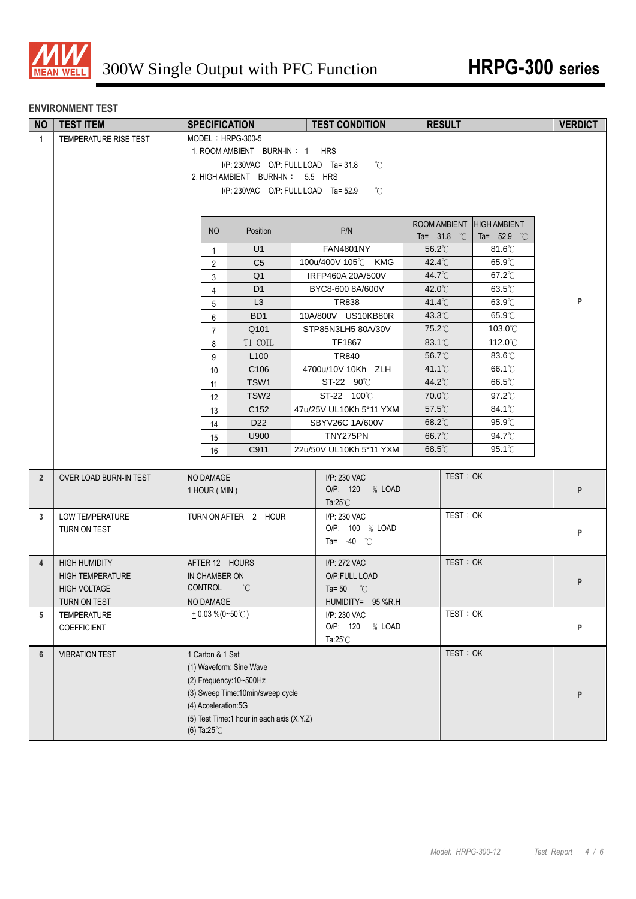

#### **ENVIRONMENT TEST**

| <b>NO</b>      | <b>TEST ITEM</b>                               | <b>SPECIFICATION</b>     |                                           | <b>TEST CONDITION</b>                | <b>RESULT</b>                 |          |                                      | <b>VERDICT</b> |
|----------------|------------------------------------------------|--------------------------|-------------------------------------------|--------------------------------------|-------------------------------|----------|--------------------------------------|----------------|
| $\mathbf{1}$   | TEMPERATURE RISE TEST                          | MODEL: HRPG-300-5        |                                           |                                      |                               |          |                                      |                |
|                |                                                |                          | 1. ROOM AMBIENT BURN-IN: 1 HRS            |                                      |                               |          |                                      |                |
|                |                                                |                          | I/P: 230VAC O/P: FULL LOAD Ta= 31.8       | °C                                   |                               |          |                                      |                |
|                |                                                |                          | 2. HIGH AMBIENT BURN-IN: 5.5 HRS          |                                      |                               |          |                                      |                |
|                |                                                |                          | I/P: 230VAC O/P: FULL LOAD Ta= 52.9       | °C                                   |                               |          |                                      |                |
|                |                                                |                          |                                           |                                      |                               |          |                                      |                |
|                |                                                | <b>NO</b>                | Position                                  | P/N                                  | ROOM AMBIENT<br>Ta= $31.8$ °C |          | <b>HIGH AMBIENT</b><br>Ta= $52.9$ °C |                |
|                |                                                | $\mathbf{1}$             | U1                                        | <b>FAN4801NY</b>                     | 56.2°C                        |          | $81.6^{\circ}$ C                     |                |
|                |                                                | $\overline{2}$           | C <sub>5</sub>                            | 100u/400V 105℃ KMG                   | $42.4^{\circ}$ C              |          | $65.9^{\circ}$ C                     |                |
|                |                                                | $\mathsf{3}$             | Q <sub>1</sub>                            | IRFP460A 20A/500V                    | 44.7°C                        |          | 67.2°C                               |                |
|                |                                                | $\overline{4}$           | D <sub>1</sub>                            | BYC8-600 8A/600V                     | 42.0°C                        |          | $63.5^{\circ}$ C                     |                |
|                |                                                | 5                        | L3                                        | <b>TR838</b>                         | 41.4°C                        |          | 63.9°C                               | P              |
|                |                                                | 6                        | BD <sub>1</sub>                           | 10A/800V US10KB80R                   | 43.3°C                        |          | 65.9°C                               |                |
|                |                                                | $\overline{7}$           | Q101                                      | STP85N3LH5 80A/30V                   | 75.2°C                        |          | 103.0°C                              |                |
|                |                                                | 8                        | T1 COIL                                   | TF1867                               | 83.1°C                        |          | 112.0°C                              |                |
|                |                                                | 9                        | L <sub>100</sub>                          | <b>TR840</b>                         | 56.7°C                        |          | 83.6°C                               |                |
|                |                                                | 10                       | C <sub>106</sub>                          | 4700u/10V 10Kh ZLH                   | $41.1^{\circ}$ C              |          | 66.1°C                               |                |
|                |                                                | 11                       | TSW1                                      | ST-22 90°C                           | 44.2°C                        |          | 66.5°C                               |                |
|                |                                                | 12                       | TSW <sub>2</sub>                          | ST-22 100℃                           | 70.0°C                        |          | $97.2^{\circ}$ C                     |                |
|                |                                                | 13                       | C <sub>152</sub>                          | 47u/25V UL10Kh 5*11 YXM              | 57.5°C                        |          | 84.1°C                               |                |
|                |                                                | 14                       | D <sub>22</sub>                           | SBYV26C 1A/600V                      | 68.2°C                        |          | $95.9^{\circ}$ C                     |                |
|                |                                                | 15                       | U900                                      | TNY275PN                             | 66.7°C                        |          | 94.7°C                               |                |
|                |                                                | 16                       | C911                                      | 22u/50V UL10Kh 5*11 YXM              | 68.5°C                        |          | $95.1^{\circ}$                       |                |
|                |                                                |                          |                                           |                                      |                               | TEST: OK |                                      |                |
| $\overline{2}$ | OVER LOAD BURN-IN TEST                         | NO DAMAGE                |                                           | I/P: 230 VAC<br>O/P: 120 % LOAD      |                               |          |                                      | P              |
|                |                                                | 1 HOUR (MIN)             |                                           | Ta: $25^{\circ}$ C                   |                               |          |                                      |                |
| $\mathbf{3}$   | <b>LOW TEMPERATURE</b>                         |                          | TURN ON AFTER 2 HOUR                      | I/P: 230 VAC                         |                               | TEST: OK |                                      |                |
|                | TURN ON TEST                                   |                          |                                           | O/P: 100 % LOAD                      |                               |          |                                      | P              |
|                |                                                |                          |                                           | Ta= $-40$ °C                         |                               |          |                                      |                |
|                |                                                |                          |                                           |                                      |                               | TEST: OK |                                      |                |
| $\overline{4}$ | <b>HIGH HUMIDITY</b>                           | AFTER 12 HOURS           |                                           | I/P: 272 VAC                         |                               |          |                                      |                |
|                | <b>HIGH TEMPERATURE</b><br><b>HIGH VOLTAGE</b> | IN CHAMBER ON<br>CONTROL | $^{\circ}C$                               | O/P:FULL LOAD<br>Ta= 50 $^{\circ}$ C |                               |          |                                      | P              |
|                | TURN ON TEST                                   | NO DAMAGE                |                                           | HUMIDITY= 95 %R.H                    |                               |          |                                      |                |
| 5              | TEMPERATURE                                    | $+0.03\%$ (0~50°C)       |                                           | I/P: 230 VAC                         |                               | TEST: OK |                                      |                |
|                | COEFFICIENT                                    |                          |                                           | O/P: 120<br>% LOAD                   |                               |          |                                      | P              |
|                |                                                |                          |                                           | Ta: $25^{\circ}$ C                   |                               |          |                                      |                |
| $6\phantom{1}$ | <b>VIBRATION TEST</b>                          | 1 Carton & 1 Set         |                                           |                                      |                               | TEST: OK |                                      |                |
|                |                                                |                          | (1) Waveform: Sine Wave                   |                                      |                               |          |                                      |                |
|                |                                                |                          | (2) Frequency: 10~500Hz                   |                                      |                               |          |                                      |                |
|                |                                                |                          | (3) Sweep Time:10min/sweep cycle          |                                      |                               |          |                                      | P              |
|                |                                                | (4) Acceleration:5G      |                                           |                                      |                               |          |                                      |                |
|                |                                                |                          | (5) Test Time:1 hour in each axis (X.Y.Z) |                                      |                               |          |                                      |                |
|                |                                                | (6) Ta: $25^{\circ}$ C   |                                           |                                      |                               |          |                                      |                |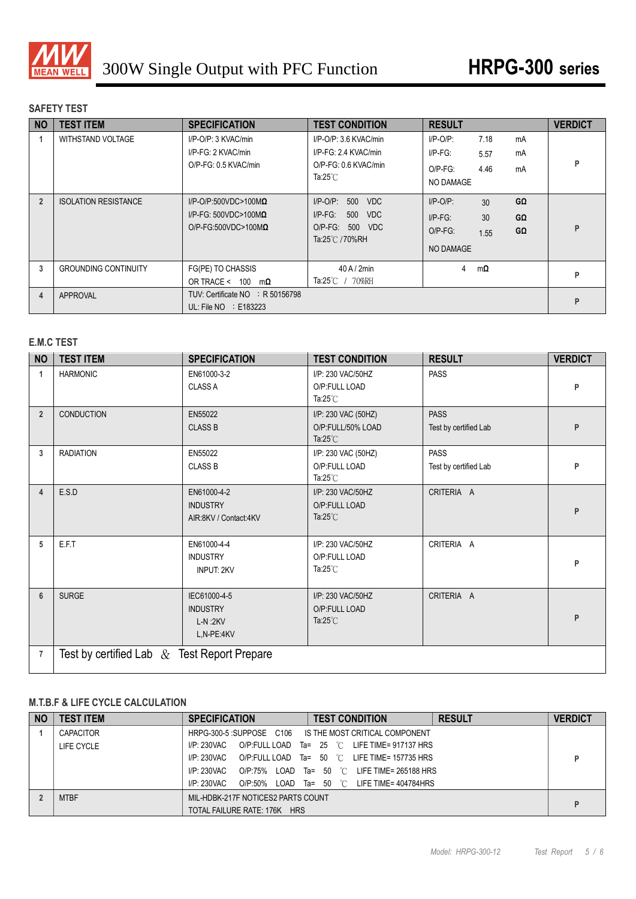

## **SAFETY TEST**

| <b>NO</b>      | <b>TEST ITEM</b>            | <b>SPECIFICATION</b>                                                                               | <b>TEST CONDITION</b>                                                                             | <b>RESULT</b>                                               |                                                 | <b>VERDICT</b> |
|----------------|-----------------------------|----------------------------------------------------------------------------------------------------|---------------------------------------------------------------------------------------------------|-------------------------------------------------------------|-------------------------------------------------|----------------|
|                | WITHSTAND VOLTAGE           | I/P-O/P: 3 KVAC/min<br>I/P-FG: 2 KVAC/min<br>O/P-FG: 0.5 KVAC/min                                  | I/P-O/P: 3.6 KVAC/min<br>I/P-FG: 2.4 KVAC/min<br>O/P-FG: 0.6 KVAC/min<br>Ta: $25^{\circ}$ C       | $I/P-O/P$ :<br>$I/P-FG$ :<br>$O/P-FG$ :<br><b>NO DAMAGE</b> | 7.18<br>mA<br>mA<br>5.57<br>4.46<br>mA          | P              |
| $\overline{2}$ | <b>ISOLATION RESISTANCE</b> | $I/P$ -O/P:500VDC>100M $\Omega$<br>$I/P-FG: 500VDC > 100M\Omega$<br>$O/P$ -FG:500VDC>100M $\Omega$ | $I/P$ -O/P:<br>500<br><b>VDC</b><br>$I/P-FG$ :<br>500<br>VDC<br>O/P-FG: 500 VDC<br>Ta:25℃ / 70%RH | $I/P-O/P$ :<br>$I/P-FG$ :<br>$O/P-FG$ :<br><b>NO DAMAGE</b> | GΩ<br>30 <sup>2</sup><br>30<br>GΩ<br>GΩ<br>1.55 | Þ              |
| 3              | <b>GROUNDING CONTINUITY</b> | FG(PE) TO CHASSIS<br>OR TRACE < 100<br>mΩ                                                          | $40$ A $/$ 2min<br>$Ta:25^{\circ}$ / 70%RH                                                        | 4                                                           | $m\Omega$                                       | P              |
| 4              | APPROVAL                    | TUV: Certificate NO : R 50156798<br>UL: File $NO$ : E183223                                        |                                                                                                   |                                                             |                                                 | P              |

## **E.M.C TEST**

| <b>NO</b>      | <b>TEST ITEM</b>                               | <b>SPECIFICATION</b>                                       | <b>TEST CONDITION</b>                                          | <b>RESULT</b>                        | <b>VERDICT</b> |
|----------------|------------------------------------------------|------------------------------------------------------------|----------------------------------------------------------------|--------------------------------------|----------------|
| 1              | <b>HARMONIC</b>                                | EN61000-3-2<br><b>CLASS A</b>                              | I/P: 230 VAC/50HZ<br>O/P:FULL LOAD<br>Ta: $25^{\circ}$ C       | <b>PASS</b>                          | P              |
| $\overline{2}$ | <b>CONDUCTION</b>                              | EN55022<br><b>CLASS B</b>                                  | I/P: 230 VAC (50HZ)<br>O/P:FULL/50% LOAD<br>Ta: $25^{\circ}$ C | <b>PASS</b><br>Test by certified Lab | P              |
| 3              | <b>RADIATION</b>                               | EN55022<br><b>CLASS B</b>                                  | I/P: 230 VAC (50HZ)<br>O/P:FULL LOAD<br>Ta: $25^{\circ}$ C     | <b>PASS</b><br>Test by certified Lab | P              |
| 4              | E.S.D                                          | EN61000-4-2<br><b>INDUSTRY</b><br>AIR:8KV / Contact:4KV    | I/P: 230 VAC/50HZ<br>O/P:FULL LOAD<br>Ta: $25^{\circ}$ C       | CRITERIA A                           | P              |
| 5              | E.F.T                                          | EN61000-4-4<br><b>INDUSTRY</b><br><b>INPUT: 2KV</b>        | I/P: 230 VAC/50HZ<br>O/P:FULL LOAD<br>Ta: $25^{\circ}$ C       | CRITERIA A                           | P              |
| $6\phantom{1}$ | <b>SURGE</b>                                   | IEC61000-4-5<br><b>INDUSTRY</b><br>$L-N:2KV$<br>L,N-PE:4KV | I/P: 230 VAC/50HZ<br>O/P:FULL LOAD<br>Ta: $25^{\circ}$ C       | CRITERIA A                           | P              |
| $\overline{7}$ | Test by certified Lab $\&$ Test Report Prepare |                                                            |                                                                |                                      |                |

## **M.T.B.F & LIFE CYCLE CALCULATION**

| <b>NO</b> | <b>TEST ITEM</b> | <b>SPECIFICATION</b>               | <b>TEST CONDITION</b>                                   | <b>RESULT</b> | <b>VERDICT</b> |
|-----------|------------------|------------------------------------|---------------------------------------------------------|---------------|----------------|
|           | <b>CAPACITOR</b> |                                    | HRPG-300-5 :SUPPOSE C106 IS THE MOST CRITICAL COMPONENT |               |                |
|           | LIFE CYCLE       | I/P: 230VAC                        | O/P:FULL LOAD Ta= $25$ °C LIFE TIME= 917137 HRS         |               |                |
|           |                  | $IP: 230$ VAC                      | O/P:FULL LOAD Ta= $50\degree$ C LIFE TIME= 157735 HRS   |               |                |
|           |                  | I/P: 230VAC                        | O/P:75% LOAD Ta= 50 $\degree$ C LIFE TIME= 265188 HRS   |               |                |
|           |                  | I/P: 230VAC                        | O/P:50% LOAD Ta= 50 $\degree$ C LIFE TIME= 404784HRS    |               |                |
|           | <b>MTBF</b>      | MIL-HDBK-217F NOTICES2 PARTS COUNT |                                                         |               |                |
|           |                  | TOTAL FAILURE RATE: 176K HRS       |                                                         |               | D              |